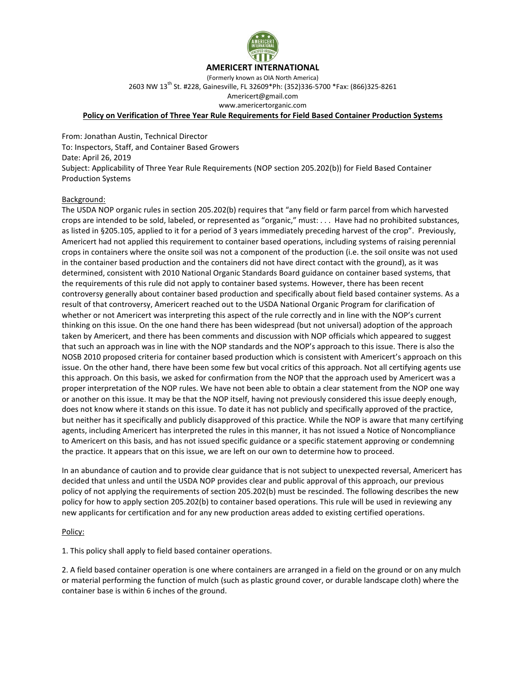

# **AMERICERT INTERNATIONAL**

(Formerly known as OIA North America) 2603 NW 13th St. #228, Gainesville, FL 32609\*Ph: (352)336-5700 \*Fax: (866)325-8261 Americert@gmail.com www.americertorganic.com

### **Policy on Verification of Three Year Rule Requirements for Field Based Container Production Systems**

From: Jonathan Austin, Technical Director To: Inspectors, Staff, and Container Based Growers Date: April 26, 2019 Subject: Applicability of Three Year Rule Requirements (NOP section 205.202(b)) for Field Based Container Production Systems

#### Background:

The USDA NOP organic rules in section 205.202(b) requires that "any field or farm parcel from which harvested crops are intended to be sold, labeled, or represented as "organic," must: . . . Have had no prohibited substances, as listed in §205.105, applied to it for a period of 3 years immediately preceding harvest of the crop". Previously, Americert had not applied this requirement to container based operations, including systems of raising perennial crops in containers where the onsite soil was not a component of the production (i.e. the soil onsite was not used in the container based production and the containers did not have direct contact with the ground), as it was determined, consistent with 2010 National Organic Standards Board guidance on container based systems, that the requirements of this rule did not apply to container based systems. However, there has been recent controversy generally about container based production and specifically about field based container systems. As a result of that controversy, Americert reached out to the USDA National Organic Program for clarification of whether or not Americert was interpreting this aspect of the rule correctly and in line with the NOP's current thinking on this issue. On the one hand there has been widespread (but not universal) adoption of the approach taken by Americert, and there has been comments and discussion with NOP officials which appeared to suggest that such an approach was in line with the NOP standards and the NOP's approach to this issue. There is also the NOSB 2010 proposed criteria for container based production which is consistent with Americert's approach on this issue. On the other hand, there have been some few but vocal critics of this approach. Not all certifying agents use this approach. On this basis, we asked for confirmation from the NOP that the approach used by Americert was a proper interpretation of the NOP rules. We have not been able to obtain a clear statement from the NOP one way or another on this issue. It may be that the NOP itself, having not previously considered this issue deeply enough, does not know where it stands on this issue. To date it has not publicly and specifically approved of the practice, but neither has it specifically and publicly disapproved of this practice. While the NOP is aware that many certifying agents, including Americert has interpreted the rules in this manner, it has not issued a Notice of Noncompliance to Americert on this basis, and has not issued specific guidance or a specific statement approving or condemning the practice. It appears that on this issue, we are left on our own to determine how to proceed.

In an abundance of caution and to provide clear guidance that is not subject to unexpected reversal, Americert has decided that unless and until the USDA NOP provides clear and public approval of this approach, our previous policy of not applying the requirements of section 205.202(b) must be rescinded. The following describes the new policy for how to apply section 205.202(b) to container based operations. This rule will be used in reviewing any new applicants for certification and for any new production areas added to existing certified operations.

#### Policy:

1. This policy shall apply to field based container operations.

2. A field based container operation is one where containers are arranged in a field on the ground or on any mulch or material performing the function of mulch (such as plastic ground cover, or durable landscape cloth) where the container base is within 6 inches of the ground.